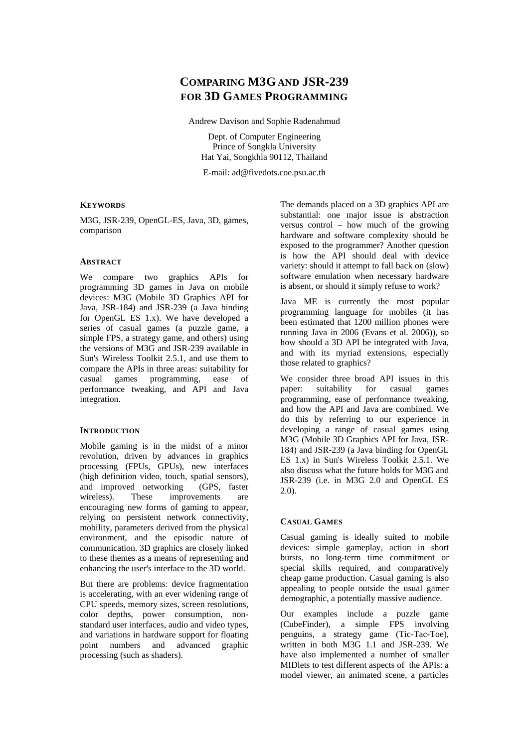# **COMPARING M3G AND JSR-239 FOR 3D GAMES PROGRAMMING**

Andrew Davison and Sophie Radenahmud

Dept. of Computer Engineering Prince of Songkla University Hat Yai, Songkhla 90112, Thailand

E-mail: ad@fivedots.coe.psu.ac.th

### **KEYWORDS**

M3G, JSR-239, OpenGL-ES, Java, 3D, games, comparison

### **ABSTRACT**

We compare two graphics APIs for programming 3D games in Java on mobile devices: M3G (Mobile 3D Graphics API for Java, JSR-184) and JSR-239 (a Java binding for OpenGL ES 1.x). We have developed a series of casual games (a puzzle game, a simple FPS, a strategy game, and others) using the versions of M3G and JSR-239 available in Sun's Wireless Toolkit 2.5.1, and use them to compare the APIs in three areas: suitability for casual games programming, ease of performance tweaking, and API and Java integration.

### **INTRODUCTION**

Mobile gaming is in the midst of a minor revolution, driven by advances in graphics processing (FPUs, GPUs), new interfaces (high definition video, touch, spatial sensors), and improved networking (GPS, faster wireless). These improvements are encouraging new forms of gaming to appear, relying on persistent network connectivity, mobility, parameters derived from the physical environment, and the episodic nature of communication. 3D graphics are closely linked to these themes as a means of representing and enhancing the user's interface to the 3D world.

But there are problems: device fragmentation is accelerating, with an ever widening range of CPU speeds, memory sizes, screen resolutions, color depths, power consumption, nonstandard user interfaces, audio and video types, and variations in hardware support for floating point numbers and advanced graphic processing (such as shaders).

The demands placed on a 3D graphics API are substantial: one major issue is abstraction versus control – how much of the growing hardware and software complexity should be exposed to the programmer? Another question is how the API should deal with device variety: should it attempt to fall back on (slow) software emulation when necessary hardware is absent, or should it simply refuse to work?

Java ME is currently the most popular programming language for mobiles (it has been estimated that 1200 million phones were running Java in 2006 (Evans et al. 2006)), so how should a 3D API be integrated with Java, and with its myriad extensions, especially those related to graphics?

We consider three broad API issues in this paper: suitability for casual games programming, ease of performance tweaking, and how the API and Java are combined. We do this by referring to our experience in developing a range of casual games using M3G (Mobile 3D Graphics API for Java, JSR-184) and JSR-239 (a Java binding for OpenGL ES 1.x) in Sun's Wireless Toolkit 2.5.1. We also discuss what the future holds for M3G and JSR-239 (i.e. in M3G 2.0 and OpenGL ES 2.0).

### **CASUAL GAMES**

Casual gaming is ideally suited to mobile devices: simple gameplay, action in short bursts, no long-term time commitment or special skills required, and comparatively cheap game production. Casual gaming is also appealing to people outside the usual gamer demographic, a potentially massive audience.

Our examples include a puzzle game (CubeFinder), a simple FPS involving penguins, a strategy game (Tic-Tac-Toe), written in both M3G 1.1 and JSR-239. We have also implemented a number of smaller MIDlets to test different aspects of the APIs: a model viewer, an animated scene, a particles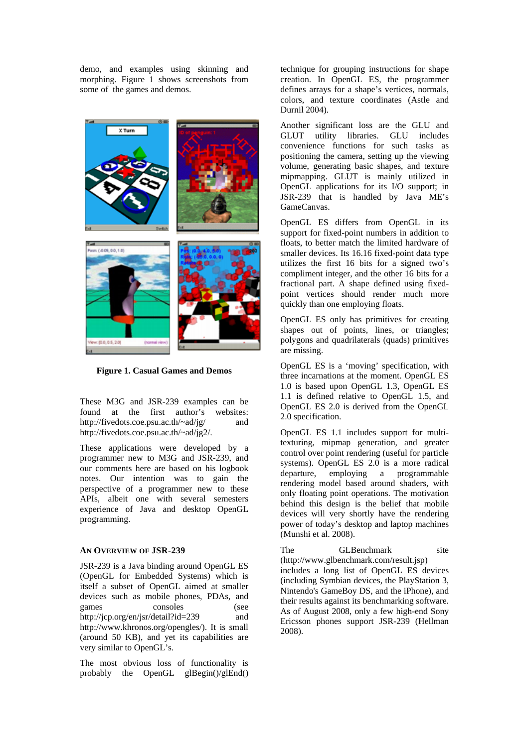demo, and examples using skinning and morphing. Figure 1 shows screenshots from some of the games and demos.



**Figure 1. Casual Games and Demos** 

These M3G and JSR-239 examples can be found at the first author's websites: http://fivedots.coe.psu.ac.th/~ad/jg/ and http://fivedots.coe.psu.ac.th/~ad/jg2/.

These applications were developed by a programmer new to M3G and JSR-239, and our comments here are based on his logbook notes. Our intention was to gain the perspective of a programmer new to these APIs, albeit one with several semesters experience of Java and desktop OpenGL programming.

### **AN OVERVIEW OF JSR-239**

JSR-239 is a Java binding around OpenGL ES (OpenGL for Embedded Systems) which is itself a subset of OpenGL aimed at smaller devices such as mobile phones, PDAs, and games consoles (see http://jcp.org/en/jsr/detail?id=239 and http://www.khronos.org/opengles/). It is small (around 50 KB), and yet its capabilities are very similar to OpenGL's.

The most obvious loss of functionality is probably the OpenGL glBegin()/glEnd()

technique for grouping instructions for shape creation. In OpenGL ES, the programmer defines arrays for a shape's vertices, normals, colors, and texture coordinates (Astle and Durnil 2004).

Another significant loss are the GLU and GLUT utility libraries. GLU includes convenience functions for such tasks as positioning the camera, setting up the viewing volume, generating basic shapes, and texture mipmapping. GLUT is mainly utilized in OpenGL applications for its I/O support; in JSR-239 that is handled by Java ME's GameCanvas.

OpenGL ES differs from OpenGL in its support for fixed-point numbers in addition to floats, to better match the limited hardware of smaller devices. Its 16.16 fixed-point data type utilizes the first 16 bits for a signed two's compliment integer, and the other 16 bits for a fractional part. A shape defined using fixedpoint vertices should render much more quickly than one employing floats.

OpenGL ES only has primitives for creating shapes out of points, lines, or triangles; polygons and quadrilaterals (quads) primitives are missing.

OpenGL ES is a 'moving' specification, with three incarnations at the moment. OpenGL ES 1.0 is based upon OpenGL 1.3, OpenGL ES 1.1 is defined relative to OpenGL 1.5, and OpenGL ES 2.0 is derived from the OpenGL 2.0 specification.

OpenGL ES 1.1 includes support for multitexturing, mipmap generation, and greater control over point rendering (useful for particle systems). OpenGL ES 2.0 is a more radical departure, employing a programmable rendering model based around shaders, with only floating point operations. The motivation behind this design is the belief that mobile devices will very shortly have the rendering power of today's desktop and laptop machines (Munshi et al. 2008).

The GLBenchmark site (http://www.glbenchmark.com/result.jsp) includes a long list of OpenGL ES devices (including Symbian devices, the PlayStation 3, Nintendo's GameBoy DS, and the iPhone), and their results against its benchmarking software. As of August 2008, only a few high-end Sony Ericsson phones support JSR-239 (Hellman 2008).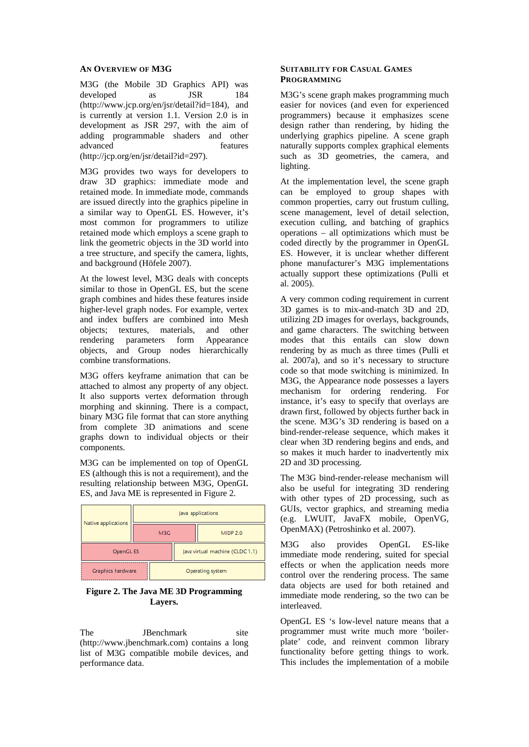### **AN OVERVIEW OF M3G**

M3G (the Mobile 3D Graphics API) was developed as JSR 184 (http://www.jcp.org/en/jsr/detail?id=184), and is currently at version 1.1. Version 2.0 is in development as JSR 297, with the aim of adding programmable shaders and other advanced features (http://jcp.org/en/jsr/detail?id=297).

M3G provides two ways for developers to draw 3D graphics: immediate mode and retained mode. In immediate mode, commands are issued directly into the graphics pipeline in a similar way to OpenGL ES. However, it's most common for programmers to utilize retained mode which employs a scene graph to link the geometric objects in the 3D world into a tree structure, and specify the camera, lights, and background (Höfele 2007).

At the lowest level, M3G deals with concepts similar to those in OpenGL ES, but the scene graph combines and hides these features inside higher-level graph nodes. For example, vertex and index buffers are combined into Mesh objects; textures, materials, and other rendering parameters form Appearance objects, and Group nodes hierarchically combine transformations.

M3G offers keyframe animation that can be attached to almost any property of any object. It also supports vertex deformation through morphing and skinning. There is a compact, binary M3G file format that can store anything from complete 3D animations and scene graphs down to individual objects or their components.

M3G can be implemented on top of OpenGL ES (although this is not a requirement), and the resulting relationship between M3G, OpenGL ES, and Java ME is represented in Figure 2.

| Native applications | Java applications |                                 |                  |
|---------------------|-------------------|---------------------------------|------------------|
|                     | M3G               |                                 | <b>MIDP 2.0</b>  |
| OpenGL ES           |                   | Java virtual machine (CLDC 1.1) |                  |
| Graphics hardware   |                   |                                 | Operating system |

## **Figure 2. The Java ME 3D Programming Layers.**

The JBenchmark site (http://www.jbenchmark.com) contains a long list of M3G compatible mobile devices, and performance data.

### **SUITABILITY FOR CASUAL GAMES PROGRAMMING**

M3G's scene graph makes programming much easier for novices (and even for experienced programmers) because it emphasizes scene design rather than rendering, by hiding the underlying graphics pipeline. A scene graph naturally supports complex graphical elements such as 3D geometries, the camera, and lighting.

At the implementation level, the scene graph can be employed to group shapes with common properties, carry out frustum culling, scene management, level of detail selection, execution culling, and batching of graphics operations – all optimizations which must be coded directly by the programmer in OpenGL ES. However, it is unclear whether different phone manufacturer's M3G implementations actually support these optimizations (Pulli et al. 2005).

A very common coding requirement in current 3D games is to mix-and-match 3D and 2D, utilizing 2D images for overlays, backgrounds, and game characters. The switching between modes that this entails can slow down rendering by as much as three times (Pulli et al. 2007a), and so it's necessary to structure code so that mode switching is minimized. In M3G, the Appearance node possesses a layers mechanism for ordering rendering. For instance, it's easy to specify that overlays are drawn first, followed by objects further back in the scene. M3G's 3D rendering is based on a bind-render-release sequence, which makes it clear when 3D rendering begins and ends, and so makes it much harder to inadvertently mix 2D and 3D processing.

The M3G bind-render-release mechanism will also be useful for integrating 3D rendering with other types of 2D processing, such as GUIs, vector graphics, and streaming media (e.g. LWUIT, JavaFX mobile, OpenVG, OpenMAX) (Petroshinko et al. 2007).

M3G also provides OpenGL ES-like immediate mode rendering, suited for special effects or when the application needs more control over the rendering process. The same data objects are used for both retained and immediate mode rendering, so the two can be interleaved.

OpenGL ES 's low-level nature means that a programmer must write much more 'boilerplate' code, and reinvent common library functionality before getting things to work. This includes the implementation of a mobile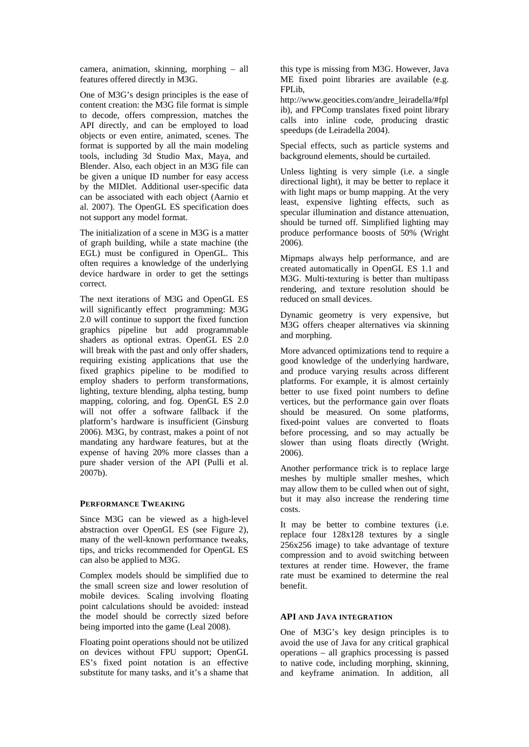camera, animation, skinning, morphing – all features offered directly in M3G.

One of M3G's design principles is the ease of content creation: the M3G file format is simple to decode, offers compression, matches the API directly, and can be employed to load objects or even entire, animated, scenes. The format is supported by all the main modeling tools, including 3d Studio Max, Maya, and Blender. Also, each object in an M3G file can be given a unique ID number for easy access by the MIDlet. Additional user-specific data can be associated with each object (Aarnio et al. 2007). The OpenGL ES specification does not support any model format.

The initialization of a scene in M3G is a matter of graph building, while a state machine (the EGL) must be configured in OpenGL. This often requires a knowledge of the underlying device hardware in order to get the settings correct.

The next iterations of M3G and OpenGL ES will significantly effect programming: M3G 2.0 will continue to support the fixed function graphics pipeline but add programmable shaders as optional extras. OpenGL ES 2.0 will break with the past and only offer shaders, requiring existing applications that use the fixed graphics pipeline to be modified to employ shaders to perform transformations, lighting, texture blending, alpha testing, bump mapping, coloring, and fog. OpenGL ES 2.0 will not offer a software fallback if the platform's hardware is insufficient (Ginsburg 2006). M3G, by contrast, makes a point of not mandating any hardware features, but at the expense of having 20% more classes than a pure shader version of the API (Pulli et al. 2007b).

### **PERFORMANCE TWEAKING**

Since M3G can be viewed as a high-level abstraction over OpenGL ES (see Figure 2), many of the well-known performance tweaks, tips, and tricks recommended for OpenGL ES can also be applied to M3G.

Complex models should be simplified due to the small screen size and lower resolution of mobile devices. Scaling involving floating point calculations should be avoided: instead the model should be correctly sized before being imported into the game (Leal 2008).

Floating point operations should not be utilized on devices without FPU support; OpenGL ES's fixed point notation is an effective substitute for many tasks, and it's a shame that this type is missing from M3G. However, Java ME fixed point libraries are available (e.g. FPLib,

http://www.geocities.com/andre\_leiradella/#fpl ib), and FPComp translates fixed point library calls into inline code, producing drastic speedups (de Leiradella 2004).

Special effects, such as particle systems and background elements, should be curtailed.

Unless lighting is very simple (i.e. a single directional light), it may be better to replace it with light maps or bump mapping. At the very least, expensive lighting effects, such as specular illumination and distance attenuation, should be turned off. Simplified lighting may produce performance boosts of 50% (Wright 2006).

Mipmaps always help performance, and are created automatically in OpenGL ES 1.1 and M3G. Multi-texturing is better than multipass rendering, and texture resolution should be reduced on small devices.

Dynamic geometry is very expensive, but M3G offers cheaper alternatives via skinning and morphing.

More advanced optimizations tend to require a good knowledge of the underlying hardware, and produce varying results across different platforms. For example, it is almost certainly better to use fixed point numbers to define vertices, but the performance gain over floats should be measured. On some platforms, fixed-point values are converted to floats before processing, and so may actually be slower than using floats directly (Wright. 2006).

Another performance trick is to replace large meshes by multiple smaller meshes, which may allow them to be culled when out of sight, but it may also increase the rendering time costs.

It may be better to combine textures (i.e. replace four 128x128 textures by a single 256x256 image) to take advantage of texture compression and to avoid switching between textures at render time. However, the frame rate must be examined to determine the real benefit.

### **API AND JAVA INTEGRATION**

One of M3G's key design principles is to avoid the use of Java for any critical graphical operations – all graphics processing is passed to native code, including morphing, skinning, and keyframe animation. In addition, all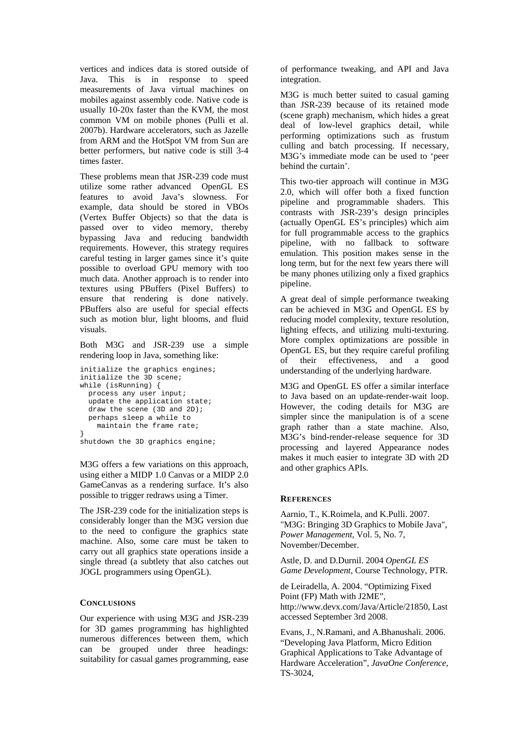vertices and indices data is stored outside of Java. This is in response to speed measurements of Java virtual machines on mobiles against assembly code. Native code is usually 10-20x faster than the KVM, the most common VM on mobile phones (Pulli et al. 2007b). Hardware accelerators, such as Jazelle from ARM and the HotSpot VM from Sun are better performers, but native code is still 3-4 times faster.

These problems mean that JSR-239 code must utilize some rather advanced OpenGL ES features to avoid Java's slowness. For example, data should be stored in VBOs (Vertex Buffer Objects) so that the data is passed over to video memory, thereby bypassing Java and reducing bandwidth requirements. However, this strategy requires careful testing in larger games since it's quite possible to overload GPU memory with too much data. Another approach is to render into textures using PBuffers (Pixel Buffers) to ensure that rendering is done natively. PBuffers also are useful for special effects such as motion blur, light blooms, and fluid visuals.

Both M3G and JSR-239 use a simple rendering loop in Java, something like:

```
initialize the graphics engines; 
initialize the 3D scene; 
while (isRunning) { 
   process any user input; 
   update the application state; 
  draw the scene (3D and 2D); 
   perhaps sleep a while to 
     maintain the frame rate; 
}
```
shutdown the 3D graphics engine;

M3G offers a few variations on this approach, using either a MIDP 1.0 Canvas or a MIDP 2.0 GameCanvas as a rendering surface. It's also possible to trigger redraws using a Timer.

The JSR-239 code for the initialization steps is considerably longer than the M3G version due to the need to configure the graphics state machine. Also, some care must be taken to carry out all graphics state operations inside a single thread (a subtlety that also catches out JOGL programmers using OpenGL).

### **CONCLUSIONS**

Our experience with using M3G and JSR-239 for 3D games programming has highlighted numerous differences between them, which can be grouped under three headings: suitability for casual games programming, ease

of performance tweaking, and API and Java integration.

M3G is much better suited to casual gaming than JSR-239 because of its retained mode (scene graph) mechanism, which hides a great deal of low-level graphics detail, while performing optimizations such as frustum culling and batch processing. If necessary, M3G's immediate mode can be used to 'peer behind the curtain'.

This two-tier approach will continue in M3G 2.0, which will offer both a fixed function pipeline and programmable shaders. This contrasts with JSR-239's design principles (actually OpenGL ES's principles) which aim for full programmable access to the graphics pipeline, with no fallback to software emulation. This position makes sense in the long term, but for the next few years there will be many phones utilizing only a fixed graphics pipeline.

A great deal of simple performance tweaking can be achieved in M3G and OpenGL ES by reducing model complexity, texture resolution, lighting effects, and utilizing multi-texturing. More complex optimizations are possible in OpenGL ES, but they require careful profiling of their effectiveness, and a good understanding of the underlying hardware.

M3G and OpenGL ES offer a similar interface to Java based on an update-render-wait loop. However, the coding details for M3G are simpler since the manipulation is of a scene graph rather than a state machine. Also, M3G's bind-render-release sequence for 3D processing and layered Appearance nodes makes it much easier to integrate 3D with 2D and other graphics APIs.

### **REFERENCES**

Aarnio, T., K.Roimela, and K.Pulli. 2007. "M3G: Bringing 3D Graphics to Mobile Java", *Power Management*, Vol. 5, No. 7, November/December.

Astle, D. and D.Durnil. 2004 *OpenGL ES Game Development*, Course Technology, PTR.

de Leiradella, A. 2004. "Optimizing Fixed Point (FP) Math with J2ME", http://www.devx.com/Java/Article/21850, Last accessed September 3rd 2008.

Evans, J., N.Ramani, and A.Bhanushali. 2006. "Developing Java Platform, Micro Edition Graphical Applications to Take Advantage of Hardware Acceleration", *JavaOne Conference*, TS-3024,